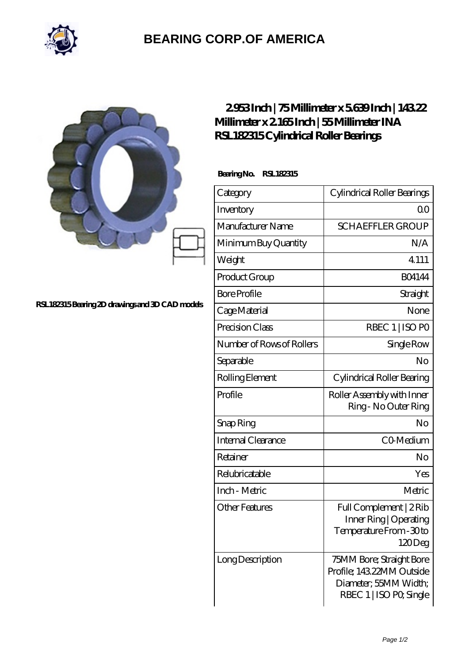

## **[BEARING CORP.OF AMERICA](https://m.bluemondayreview.com)**

|                                                | 2953Inch   75Millimeter x 5639Inch   14322<br>Millimeter x 2 165Inch   55Millimeter INA<br>RSL182315 Cylindrical Roller Bearings |                                                                                                           |
|------------------------------------------------|----------------------------------------------------------------------------------------------------------------------------------|-----------------------------------------------------------------------------------------------------------|
| RSL182315Bearing 2D drawings and 3D CAD models | BearingNo. RSL182315                                                                                                             |                                                                                                           |
|                                                | Category                                                                                                                         | Cylindrical Roller Bearings                                                                               |
|                                                | Inventory                                                                                                                        | 0 <sup>0</sup>                                                                                            |
|                                                | Manufacturer Name                                                                                                                | <b>SCHAEFFLER GROUP</b>                                                                                   |
|                                                | Minimum Buy Quantity                                                                                                             | N/A                                                                                                       |
|                                                | Weight                                                                                                                           | 4.111                                                                                                     |
|                                                | Product Group                                                                                                                    | <b>BO4144</b>                                                                                             |
|                                                | <b>Bore Profile</b>                                                                                                              | Straight                                                                                                  |
|                                                | Cage Material                                                                                                                    | None                                                                                                      |
|                                                | Precision Class                                                                                                                  | RBEC 1   ISO PO                                                                                           |
|                                                | Number of Rows of Rollers                                                                                                        | Single Row                                                                                                |
|                                                | Separable                                                                                                                        | N <sub>o</sub>                                                                                            |
|                                                | Rolling Element                                                                                                                  | Cylindrical Roller Bearing                                                                                |
|                                                | Profile                                                                                                                          | Roller Assembly with Inner<br>Ring - No Outer Ring                                                        |
|                                                | Snap Ring                                                                                                                        | No                                                                                                        |
|                                                | Internal Clearance                                                                                                               | CO-Medium                                                                                                 |
|                                                | Retainer                                                                                                                         | No                                                                                                        |
|                                                | Relubricatable                                                                                                                   | Yes                                                                                                       |
|                                                | Inch - Metric                                                                                                                    | Metric                                                                                                    |
|                                                | <b>Other Features</b>                                                                                                            | Full Complement   2Rib<br>Inner Ring   Operating<br>Temperature From - 30 to<br>120Deg                    |
|                                                | Long Description                                                                                                                 | 75MM Bore; Straight Bore<br>Profile; 143.22MM Outside<br>Diameter; 55MM Width;<br>RBEC 1   ISO PO, Single |